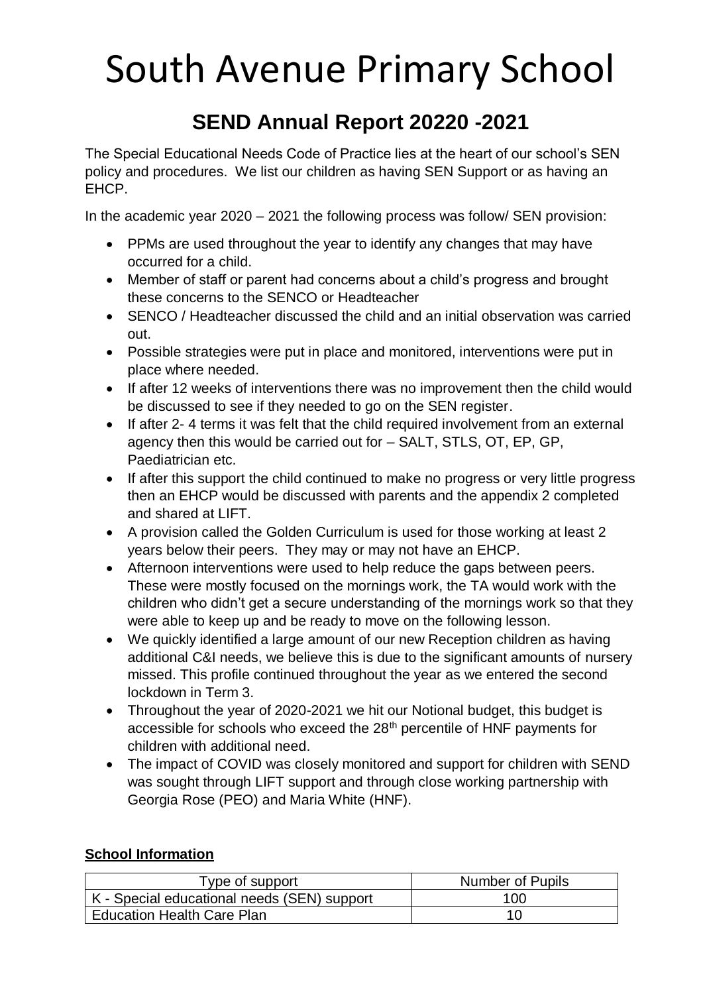### **SEND Annual Report 20220 -2021**

The Special Educational Needs Code of Practice lies at the heart of our school's SEN policy and procedures. We list our children as having SEN Support or as having an EHCP.

In the academic year 2020 – 2021 the following process was follow/ SEN provision:

- PPMs are used throughout the year to identify any changes that may have occurred for a child.
- Member of staff or parent had concerns about a child's progress and brought these concerns to the SENCO or Headteacher
- SENCO / Headteacher discussed the child and an initial observation was carried out.
- Possible strategies were put in place and monitored, interventions were put in place where needed.
- If after 12 weeks of interventions there was no improvement then the child would be discussed to see if they needed to go on the SEN register.
- If after 2- 4 terms it was felt that the child required involvement from an external agency then this would be carried out for – SALT, STLS, OT, EP, GP, Paediatrician etc.
- If after this support the child continued to make no progress or very little progress then an EHCP would be discussed with parents and the appendix 2 completed and shared at LIFT.
- A provision called the Golden Curriculum is used for those working at least 2 years below their peers. They may or may not have an EHCP.
- Afternoon interventions were used to help reduce the gaps between peers. These were mostly focused on the mornings work, the TA would work with the children who didn't get a secure understanding of the mornings work so that they were able to keep up and be ready to move on the following lesson.
- We quickly identified a large amount of our new Reception children as having additional C&I needs, we believe this is due to the significant amounts of nursery missed. This profile continued throughout the year as we entered the second lockdown in Term 3.
- Throughout the year of 2020-2021 we hit our Notional budget, this budget is accessible for schools who exceed the 28<sup>th</sup> percentile of HNF payments for children with additional need.
- The impact of COVID was closely monitored and support for children with SEND was sought through LIFT support and through close working partnership with Georgia Rose (PEO) and Maria White (HNF).

### **School Information**

| Type of support                             | Number of Pupils |  |  |
|---------------------------------------------|------------------|--|--|
| K - Special educational needs (SEN) support | 100              |  |  |
| <b>Education Health Care Plan</b>           |                  |  |  |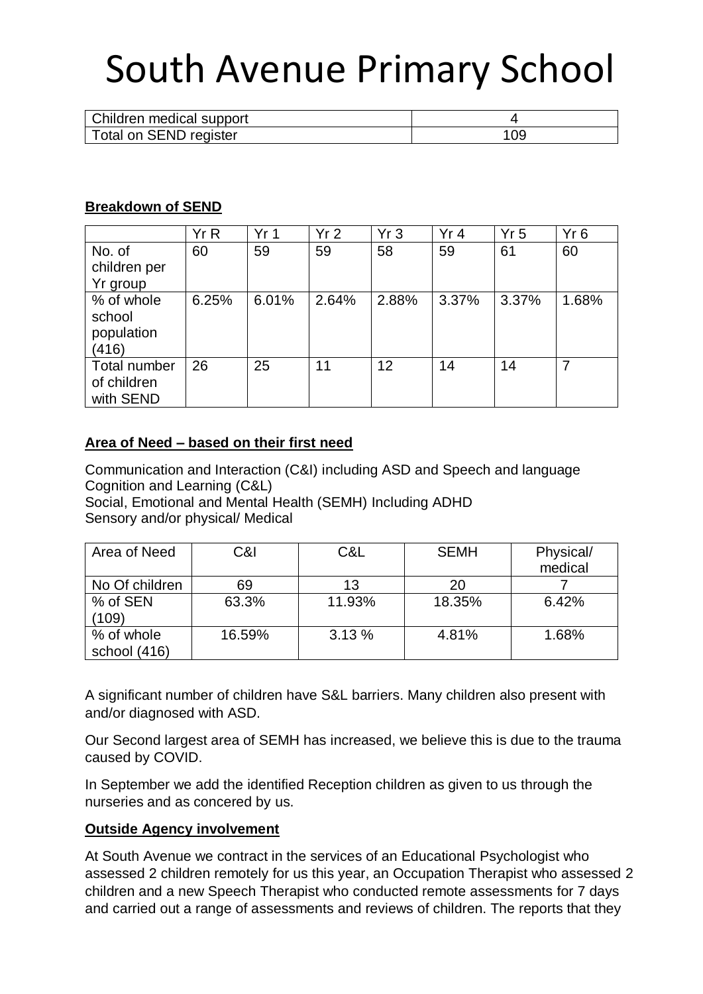| Children medical support |     |
|--------------------------|-----|
| Total on SEND register   | 109 |

#### **Breakdown of SEND**

|              | Yr R  | Yr <sub>1</sub> | Yr <sub>2</sub> | Yr <sub>3</sub> | Yr 4  | Yr <sub>5</sub> | Yr6   |
|--------------|-------|-----------------|-----------------|-----------------|-------|-----------------|-------|
| No. of       | 60    | 59              | 59              | 58              | 59    | 61              | 60    |
| children per |       |                 |                 |                 |       |                 |       |
| Yr group     |       |                 |                 |                 |       |                 |       |
| % of whole   | 6.25% | 6.01%           | 2.64%           | 2.88%           | 3.37% | 3.37%           | 1.68% |
| school       |       |                 |                 |                 |       |                 |       |
| population   |       |                 |                 |                 |       |                 |       |
| (416)        |       |                 |                 |                 |       |                 |       |
| Total number | 26    | 25              | 11              | 12              | 14    | 14              | 7     |
| of children  |       |                 |                 |                 |       |                 |       |
| with SEND    |       |                 |                 |                 |       |                 |       |

#### **Area of Need – based on their first need**

Communication and Interaction (C&I) including ASD and Speech and language Cognition and Learning (C&L)

Social, Emotional and Mental Health (SEMH) Including ADHD Sensory and/or physical/ Medical

| Area of Need   | C&I    | C&L    | <b>SEMH</b> | Physical/ |
|----------------|--------|--------|-------------|-----------|
|                |        |        |             | medical   |
| No Of children | 69     | 13     | 20          |           |
| % of SEN       | 63.3%  | 11.93% | 18.35%      | 6.42%     |
| (109)          |        |        |             |           |
| % of whole     | 16.59% | 3.13%  | 4.81%       | 1.68%     |
| school (416)   |        |        |             |           |

A significant number of children have S&L barriers. Many children also present with and/or diagnosed with ASD.

Our Second largest area of SEMH has increased, we believe this is due to the trauma caused by COVID.

In September we add the identified Reception children as given to us through the nurseries and as concered by us.

#### **Outside Agency involvement**

At South Avenue we contract in the services of an Educational Psychologist who assessed 2 children remotely for us this year, an Occupation Therapist who assessed 2 children and a new Speech Therapist who conducted remote assessments for 7 days and carried out a range of assessments and reviews of children. The reports that they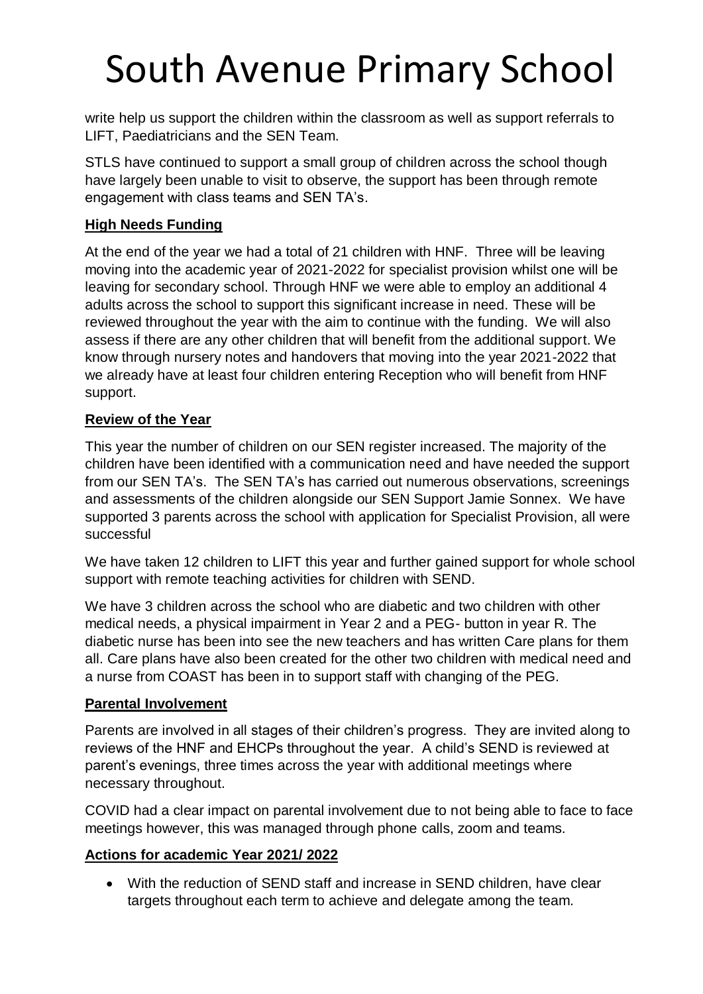write help us support the children within the classroom as well as support referrals to LIFT, Paediatricians and the SEN Team.

STLS have continued to support a small group of children across the school though have largely been unable to visit to observe, the support has been through remote engagement with class teams and SEN TA's.

### **High Needs Funding**

At the end of the year we had a total of 21 children with HNF. Three will be leaving moving into the academic year of 2021-2022 for specialist provision whilst one will be leaving for secondary school. Through HNF we were able to employ an additional 4 adults across the school to support this significant increase in need. These will be reviewed throughout the year with the aim to continue with the funding. We will also assess if there are any other children that will benefit from the additional support. We know through nursery notes and handovers that moving into the year 2021-2022 that we already have at least four children entering Reception who will benefit from HNF support.

### **Review of the Year**

This year the number of children on our SEN register increased. The majority of the children have been identified with a communication need and have needed the support from our SEN TA's. The SEN TA's has carried out numerous observations, screenings and assessments of the children alongside our SEN Support Jamie Sonnex. We have supported 3 parents across the school with application for Specialist Provision, all were successful

We have taken 12 children to LIFT this year and further gained support for whole school support with remote teaching activities for children with SEND.

We have 3 children across the school who are diabetic and two children with other medical needs, a physical impairment in Year 2 and a PEG- button in year R. The diabetic nurse has been into see the new teachers and has written Care plans for them all. Care plans have also been created for the other two children with medical need and a nurse from COAST has been in to support staff with changing of the PEG.

### **Parental Involvement**

Parents are involved in all stages of their children's progress. They are invited along to reviews of the HNF and EHCPs throughout the year. A child's SEND is reviewed at parent's evenings, three times across the year with additional meetings where necessary throughout.

COVID had a clear impact on parental involvement due to not being able to face to face meetings however, this was managed through phone calls, zoom and teams.

### **Actions for academic Year 2021/ 2022**

• With the reduction of SEND staff and increase in SEND children, have clear targets throughout each term to achieve and delegate among the team.